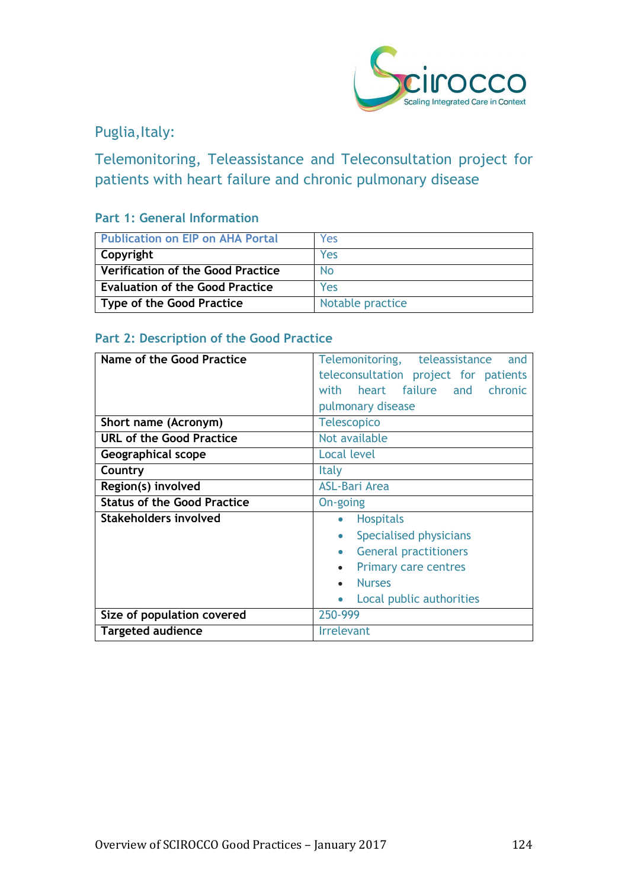

# Puglia, Italy:

Telemonitoring, Teleassistance and Teleconsultation project for patients with heart failure and chronic pulmonary disease

## **Part 1: General Information**

| <b>Publication on EIP on AHA Portal</b> | Yes              |
|-----------------------------------------|------------------|
| Copyright                               | Yes              |
| Verification of the Good Practice       | <b>No</b>        |
| <b>Evaluation of the Good Practice</b>  | Yes              |
| Type of the Good Practice               | Notable practice |

## **Part 2: Description of the Good Practice**

| Name of the Good Practice          | Telemonitoring, teleassistance<br>and     |
|------------------------------------|-------------------------------------------|
|                                    | teleconsultation project for patients     |
|                                    | with heart failure and chronic            |
|                                    | pulmonary disease                         |
| Short name (Acronym)               | <b>Telescopico</b>                        |
| <b>URL of the Good Practice</b>    | Not available                             |
| Geographical scope                 | <b>Local level</b>                        |
| Country                            | Italy                                     |
| Region(s) involved                 | <b>ASL-Bari Area</b>                      |
| <b>Status of the Good Practice</b> | On-going                                  |
| <b>Stakeholders involved</b>       | <b>Hospitals</b><br>$\bullet$             |
|                                    | Specialised physicians<br>$\bullet$       |
|                                    | <b>General practitioners</b><br>$\bullet$ |
|                                    | <b>Primary care centres</b>               |
|                                    | <b>Nurses</b>                             |
|                                    | Local public authorities                  |
| Size of population covered         | 250-999                                   |
| <b>Targeted audience</b>           | <b>Irrelevant</b>                         |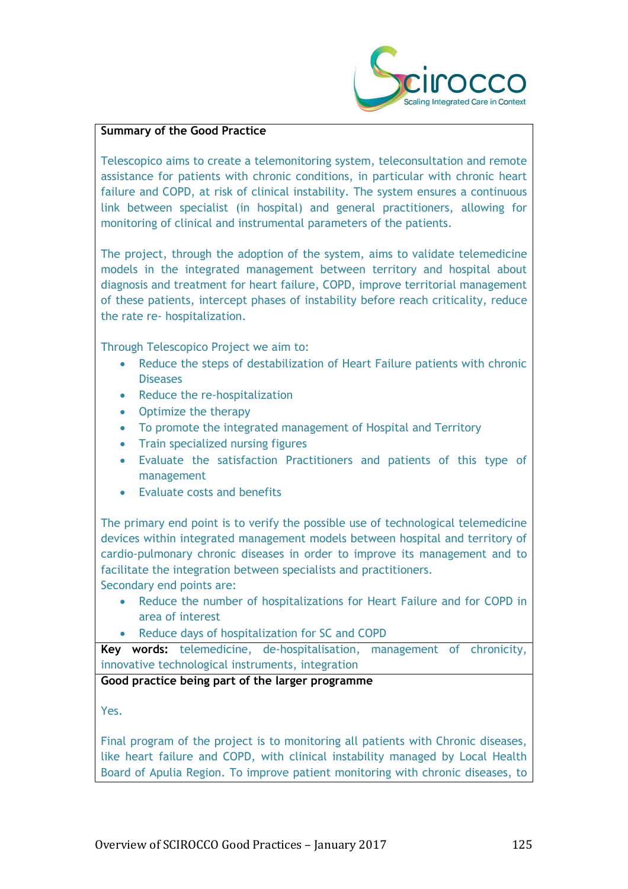

#### **Summary of the Good Practice**

Telescopico aims to create a telemonitoring system, teleconsultation and remote assistance for patients with chronic conditions, in particular with chronic heart failure and COPD, at risk of clinical instability. The system ensures a continuous link between specialist (in hospital) and general practitioners, allowing for monitoring of clinical and instrumental parameters of the patients.

The project, through the adoption of the system, aims to validate telemedicine models in the integrated management between territory and hospital about diagnosis and treatment for heart failure, COPD, improve territorial management of these patients, intercept phases of instability before reach criticality, reduce the rate re- hospitalization.

Through Telescopico Project we aim to:

- Reduce the steps of destabilization of Heart Failure patients with chronic **Diseases**
- Reduce the re-hospitalization
- Optimize the therapy
- To promote the integrated management of Hospital and Territory
- Train specialized nursing figures
- Evaluate the satisfaction Practitioners and patients of this type of management
- Evaluate costs and benefits

The primary end point is to verify the possible use of technological telemedicine devices within integrated management models between hospital and territory of cardio-pulmonary chronic diseases in order to improve its management and to facilitate the integration between specialists and practitioners. Secondary end points are:

- Reduce the number of hospitalizations for Heart Failure and for COPD in area of interest
- Reduce days of hospitalization for SC and COPD

**Key words:** telemedicine, de-hospitalisation, management of chronicity, innovative technological instruments, integration

**Good practice being part of the larger programme**

Yes.

Final program of the project is to monitoring all patients with Chronic diseases, like heart failure and COPD, with clinical instability managed by Local Health Board of Apulia Region. To improve patient monitoring with chronic diseases, to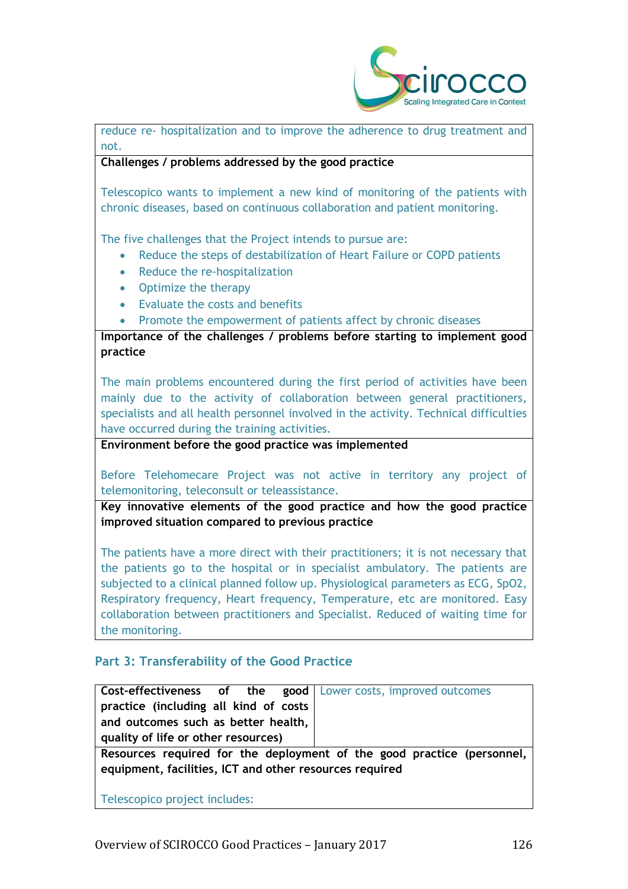

reduce re- hospitalization and to improve the adherence to drug treatment and not.

### **Challenges / problems addressed by the good practice**

Telescopico wants to implement a new kind of monitoring of the patients with chronic diseases, based on continuous collaboration and patient monitoring.

The five challenges that the Project intends to pursue are:

- Reduce the steps of destabilization of Heart Failure or COPD patients
- Reduce the re-hospitalization
- Optimize the therapy
- Evaluate the costs and benefits
- Promote the empowerment of patients affect by chronic diseases

**Importance of the challenges / problems before starting to implement good practice**

The main problems encountered during the first period of activities have been mainly due to the activity of collaboration between general practitioners, specialists and all health personnel involved in the activity. Technical difficulties have occurred during the training activities.

**Environment before the good practice was implemented** 

Before Telehomecare Project was not active in territory any project of telemonitoring, teleconsult or teleassistance.

**Key innovative elements of the good practice and how the good practice improved situation compared to previous practice**

The patients have a more direct with their practitioners; it is not necessary that the patients go to the hospital or in specialist ambulatory. The patients are subjected to a clinical planned follow up. Physiological parameters as ECG, SpO2, Respiratory frequency, Heart frequency, Temperature, etc are monitored. Easy collaboration between practitioners and Specialist. Reduced of waiting time for the monitoring.

## **Part 3: Transferability of the Good Practice**

| <b>Cost-effectiveness of the good</b> Lower costs, improved outcomes |                                                                        |
|----------------------------------------------------------------------|------------------------------------------------------------------------|
| practice (including all kind of costs                                |                                                                        |
| and outcomes such as better health,                                  |                                                                        |
| quality of life or other resources)                                  |                                                                        |
|                                                                      | Resources required for the deployment of the good practice (personnel, |

**equipment, facilities, ICT and other resources required**

Telescopico project includes: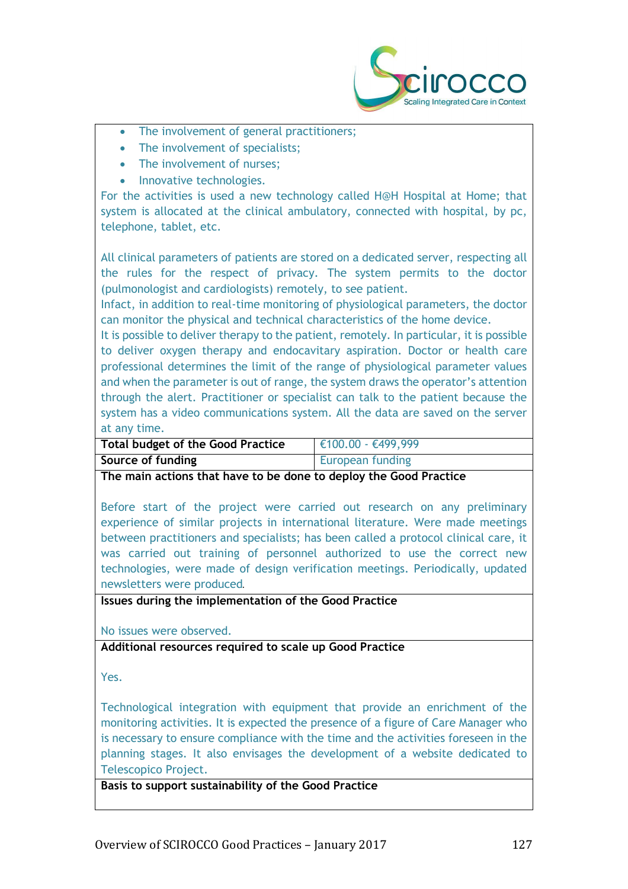

- The involvement of general practitioners;
- The involvement of specialists:
- The involvement of nurses:
- Innovative technologies.

For the activities is used a new technology called H@H Hospital at Home; that system is allocated at the clinical ambulatory, connected with hospital, by pc, telephone, tablet, etc.

All clinical parameters of patients are stored on a dedicated server, respecting all the rules for the respect of privacy. The system permits to the doctor (pulmonologist and cardiologists) remotely, to see patient.

Infact, in addition to real-time monitoring of physiological parameters, the doctor can monitor the physical and technical characteristics of the home device.

It is possible to deliver therapy to the patient, remotely. In particular, it is possible to deliver oxygen therapy and endocavitary aspiration. Doctor or health care professional determines the limit of the range of physiological parameter values and when the parameter is out of range, the system draws the operator's attention through the alert. Practitioner or specialist can talk to the patient because the system has a video communications system. All the data are saved on the server at any time.

| <b>Total budget of the Good Practice</b> | $\in$ €100.00 - €499,999 |
|------------------------------------------|--------------------------|
| Source of funding                        | <b>European funding</b>  |

**The main actions that have to be done to deploy the Good Practice**

Before start of the project were carried out research on any preliminary experience of similar projects in international literature. Were made meetings between practitioners and specialists; has been called a protocol clinical care, it was carried out training of personnel authorized to use the correct new technologies, were made of design verification meetings. Periodically, updated newsletters were produced.

**Issues during the implementation of the Good Practice**

No issues were observed.

**Additional resources required to scale up Good Practice**

Yes.

Technological integration with equipment that provide an enrichment of the monitoring activities. It is expected the presence of a figure of Care Manager who is necessary to ensure compliance with the time and the activities foreseen in the planning stages. It also envisages the development of a website dedicated to Telescopico Project.

**Basis to support sustainability of the Good Practice**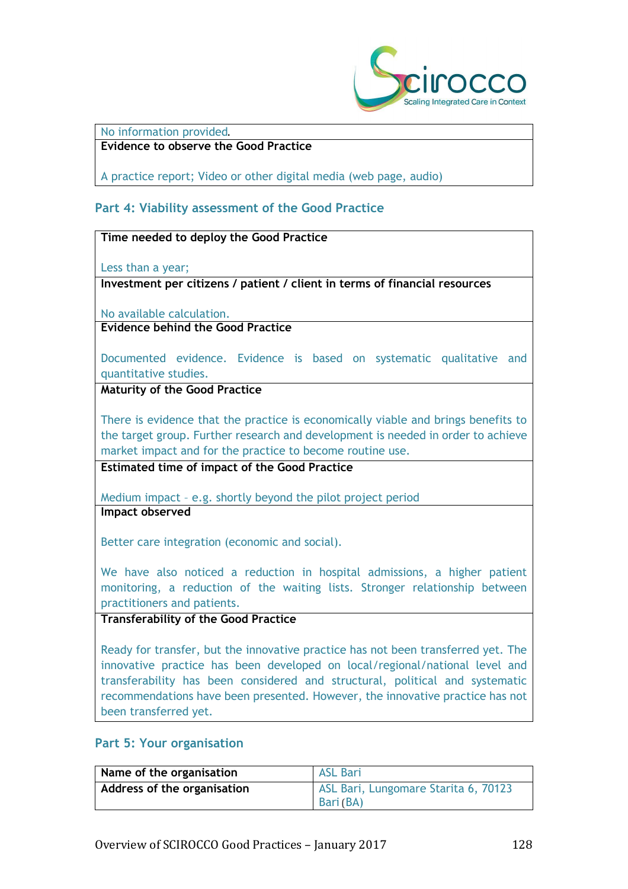

#### No information provided.

## **Evidence to observe the Good Practice**

A practice report; Video or other digital media (web page, audio)

### **Part 4: Viability assessment of the Good Practice**

#### **Time needed to deploy the Good Practice**

Less than a year;

**Investment per citizens / patient / client in terms of financial resources**

No available calculation.

**Evidence behind the Good Practice**

Documented evidence. Evidence is based on systematic qualitative and quantitative studies.

**Maturity of the Good Practice**

There is evidence that the practice is economically viable and brings benefits to the target group. Further research and development is needed in order to achieve market impact and for the practice to become routine use.

**Estimated time of impact of the Good Practice**

Medium impact – e.g. shortly beyond the pilot project period **Impact observed**

Better care integration (economic and social).

We have also noticed a reduction in hospital admissions, a higher patient monitoring, a reduction of the waiting lists. Stronger relationship between practitioners and patients.

#### **Transferability of the Good Practice**

Ready for transfer, but the innovative practice has not been transferred yet. The innovative practice has been developed on local/regional/national level and transferability has been considered and structural, political and systematic recommendations have been presented. However, the innovative practice has not been transferred yet.

#### **Part 5: Your organisation**

| Name of the organisation    | <b>ASL Bari</b>                                   |
|-----------------------------|---------------------------------------------------|
| Address of the organisation | ASL Bari, Lungomare Starita 6, 70123<br>Bari (BA) |